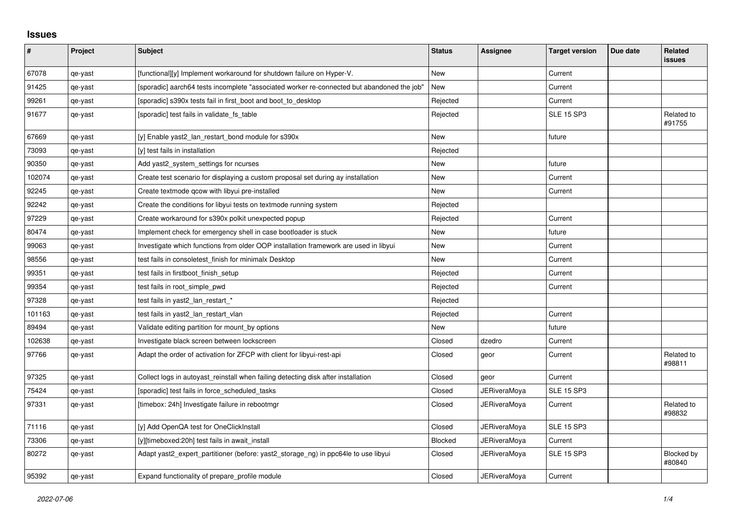## **Issues**

| $\pmb{\#}$ | Project | <b>Subject</b>                                                                             | <b>Status</b>  | <b>Assignee</b>     | <b>Target version</b> | Due date | Related<br><b>issues</b> |
|------------|---------|--------------------------------------------------------------------------------------------|----------------|---------------------|-----------------------|----------|--------------------------|
| 67078      | qe-yast | [functional][y] Implement workaround for shutdown failure on Hyper-V.                      | <b>New</b>     |                     | Current               |          |                          |
| 91425      | qe-yast | [sporadic] aarch64 tests incomplete "associated worker re-connected but abandoned the job" | New            |                     | Current               |          |                          |
| 99261      | qe-yast | [sporadic] s390x tests fail in first_boot and boot_to_desktop                              | Rejected       |                     | Current               |          |                          |
| 91677      | qe-yast | [sporadic] test fails in validate fs_table                                                 | Rejected       |                     | <b>SLE 15 SP3</b>     |          | Related to<br>#91755     |
| 67669      | qe-yast | [y] Enable yast2_lan_restart_bond module for s390x                                         | <b>New</b>     |                     | future                |          |                          |
| 73093      | qe-yast | [y] test fails in installation                                                             | Rejected       |                     |                       |          |                          |
| 90350      | qe-yast | Add yast2 system settings for ncurses                                                      | New            |                     | future                |          |                          |
| 102074     | qe-yast | Create test scenario for displaying a custom proposal set during ay installation           | New            |                     | Current               |          |                          |
| 92245      | qe-yast | Create textmode qcow with libyui pre-installed                                             | <b>New</b>     |                     | Current               |          |                          |
| 92242      | qe-yast | Create the conditions for libyui tests on textmode running system                          | Rejected       |                     |                       |          |                          |
| 97229      | qe-yast | Create workaround for s390x polkit unexpected popup                                        | Rejected       |                     | Current               |          |                          |
| 80474      | qe-yast | Implement check for emergency shell in case bootloader is stuck                            | New            |                     | future                |          |                          |
| 99063      | qe-yast | Investigate which functions from older OOP installation framework are used in libyui       | New            |                     | Current               |          |                          |
| 98556      | qe-yast | test fails in consoletest finish for minimalx Desktop                                      | New            |                     | Current               |          |                          |
| 99351      | qe-yast | test fails in firstboot_finish_setup                                                       | Rejected       |                     | Current               |          |                          |
| 99354      | qe-yast | test fails in root simple pwd                                                              | Rejected       |                     | Current               |          |                          |
| 97328      | qe-yast | test fails in yast2_lan_restart_*                                                          | Rejected       |                     |                       |          |                          |
| 101163     | qe-yast | test fails in yast2_lan_restart_vlan                                                       | Rejected       |                     | Current               |          |                          |
| 89494      | qe-yast | Validate editing partition for mount by options                                            | New            |                     | future                |          |                          |
| 102638     | qe-yast | Investigate black screen between lockscreen                                                | Closed         | dzedro              | Current               |          |                          |
| 97766      | qe-yast | Adapt the order of activation for ZFCP with client for libyui-rest-api                     | Closed         | geor                | Current               |          | Related to<br>#98811     |
| 97325      | qe-yast | Collect logs in autoyast_reinstall when failing detecting disk after installation          | Closed         | geor                | Current               |          |                          |
| 75424      | qe-yast | [sporadic] test fails in force_scheduled_tasks                                             | Closed         | JERiveraMoya        | <b>SLE 15 SP3</b>     |          |                          |
| 97331      | qe-yast | [timebox: 24h] Investigate failure in rebootmgr                                            | Closed         | <b>JERiveraMoya</b> | Current               |          | Related to<br>#98832     |
| 71116      | qe-yast | [y] Add OpenQA test for OneClickInstall                                                    | Closed         | <b>JERiveraMoya</b> | <b>SLE 15 SP3</b>     |          |                          |
| 73306      | qe-yast | [y][timeboxed:20h] test fails in await install                                             | <b>Blocked</b> | <b>JERiveraMoya</b> | Current               |          |                          |
| 80272      | qe-yast | Adapt yast2 expert partitioner (before: yast2 storage ng) in ppc64le to use libyui         | Closed         | <b>JERiveraMoya</b> | <b>SLE 15 SP3</b>     |          | Blocked by<br>#80840     |
| 95392      | qe-yast | Expand functionality of prepare_profile module                                             | Closed         | <b>JERiveraMoya</b> | Current               |          |                          |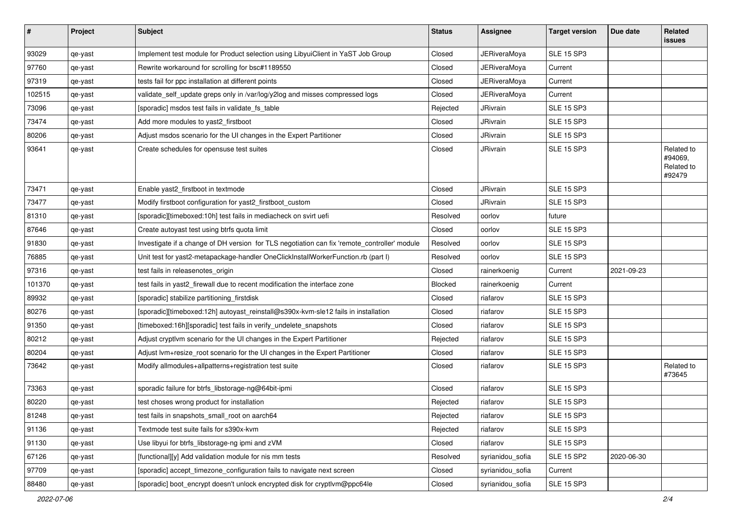| $\sharp$ | Project | <b>Subject</b>                                                                               | <b>Status</b> | <b>Assignee</b>     | <b>Target version</b> | Due date   | Related<br>issues                             |
|----------|---------|----------------------------------------------------------------------------------------------|---------------|---------------------|-----------------------|------------|-----------------------------------------------|
| 93029    | qe-yast | Implement test module for Product selection using LibyuiClient in YaST Job Group             | Closed        | <b>JERiveraMoya</b> | <b>SLE 15 SP3</b>     |            |                                               |
| 97760    | qe-yast | Rewrite workaround for scrolling for bsc#1189550                                             | Closed        | <b>JERiveraMoya</b> | Current               |            |                                               |
| 97319    | qe-yast | tests fail for ppc installation at different points                                          | Closed        | JERiveraMoya        | Current               |            |                                               |
| 102515   | qe-yast | validate_self_update greps only in /var/log/y2log and misses compressed logs                 | Closed        | <b>JERiveraMoya</b> | Current               |            |                                               |
| 73096    | qe-yast | [sporadic] msdos test fails in validate fs table                                             | Rejected      | JRivrain            | <b>SLE 15 SP3</b>     |            |                                               |
| 73474    | qe-yast | Add more modules to yast2_firstboot                                                          | Closed        | JRivrain            | <b>SLE 15 SP3</b>     |            |                                               |
| 80206    | qe-yast | Adjust msdos scenario for the UI changes in the Expert Partitioner                           | Closed        | JRivrain            | <b>SLE 15 SP3</b>     |            |                                               |
| 93641    | qe-yast | Create schedules for opensuse test suites                                                    | Closed        | JRivrain            | <b>SLE 15 SP3</b>     |            | Related to<br>#94069,<br>Related to<br>#92479 |
| 73471    | qe-yast | Enable yast2_firstboot in textmode                                                           | Closed        | JRivrain            | <b>SLE 15 SP3</b>     |            |                                               |
| 73477    | qe-yast | Modify firstboot configuration for yast2_firstboot_custom                                    | Closed        | JRivrain            | <b>SLE 15 SP3</b>     |            |                                               |
| 81310    | qe-yast | [sporadic][timeboxed:10h] test fails in mediacheck on svirt uefi                             | Resolved      | oorlov              | future                |            |                                               |
| 87646    | qe-yast | Create autoyast test using btrfs quota limit                                                 | Closed        | oorlov              | <b>SLE 15 SP3</b>     |            |                                               |
| 91830    | qe-yast | Investigate if a change of DH version for TLS negotiation can fix 'remote_controller' module | Resolved      | oorlov              | <b>SLE 15 SP3</b>     |            |                                               |
| 76885    | qe-yast | Unit test for yast2-metapackage-handler OneClickInstallWorkerFunction.rb (part I)            | Resolved      | oorlov              | <b>SLE 15 SP3</b>     |            |                                               |
| 97316    | qe-yast | test fails in releasenotes origin                                                            | Closed        | rainerkoenig        | Current               | 2021-09-23 |                                               |
| 101370   | qe-yast | test fails in yast2_firewall due to recent modification the interface zone                   | Blocked       | rainerkoenig        | Current               |            |                                               |
| 89932    | qe-yast | [sporadic] stabilize partitioning_firstdisk                                                  | Closed        | riafarov            | <b>SLE 15 SP3</b>     |            |                                               |
| 80276    | qe-yast | [sporadic][timeboxed:12h] autoyast reinstall@s390x-kvm-sle12 fails in installation           | Closed        | riafarov            | <b>SLE 15 SP3</b>     |            |                                               |
| 91350    | qe-yast | [timeboxed:16h][sporadic] test fails in verify_undelete_snapshots                            | Closed        | riafarov            | <b>SLE 15 SP3</b>     |            |                                               |
| 80212    | qe-yast | Adjust cryptivm scenario for the UI changes in the Expert Partitioner                        | Rejected      | riafarov            | <b>SLE 15 SP3</b>     |            |                                               |
| 80204    | qe-yast | Adjust lvm+resize_root scenario for the UI changes in the Expert Partitioner                 | Closed        | riafarov            | <b>SLE 15 SP3</b>     |            |                                               |
| 73642    | qe-yast | Modify allmodules+allpatterns+registration test suite                                        | Closed        | riafarov            | <b>SLE 15 SP3</b>     |            | Related to<br>#73645                          |
| 73363    | qe-yast | sporadic failure for btrfs_libstorage-ng@64bit-ipmi                                          | Closed        | riafarov            | <b>SLE 15 SP3</b>     |            |                                               |
| 80220    | qe-yast | test choses wrong product for installation                                                   | Rejected      | riafarov            | <b>SLE 15 SP3</b>     |            |                                               |
| 81248    | qe-yast | test fails in snapshots_small_root on aarch64                                                | Rejected      | riatarov            | <b>SLE 15 SP3</b>     |            |                                               |
| 91136    | qe-yast | Textmode test suite fails for s390x-kvm                                                      | Rejected      | riafarov            | <b>SLE 15 SP3</b>     |            |                                               |
| 91130    | qe-yast | Use libyui for btrfs_libstorage-ng ipmi and zVM                                              | Closed        | riafarov            | <b>SLE 15 SP3</b>     |            |                                               |
| 67126    | qe-yast | [functional][y] Add validation module for nis mm tests                                       | Resolved      | syrianidou_sofia    | <b>SLE 15 SP2</b>     | 2020-06-30 |                                               |
| 97709    | qe-yast | [sporadic] accept_timezone_configuration fails to navigate next screen                       | Closed        | syrianidou_sofia    | Current               |            |                                               |
| 88480    | qe-yast | [sporadic] boot_encrypt doesn't unlock encrypted disk for cryptlvm@ppc64le                   | Closed        | syrianidou_sofia    | <b>SLE 15 SP3</b>     |            |                                               |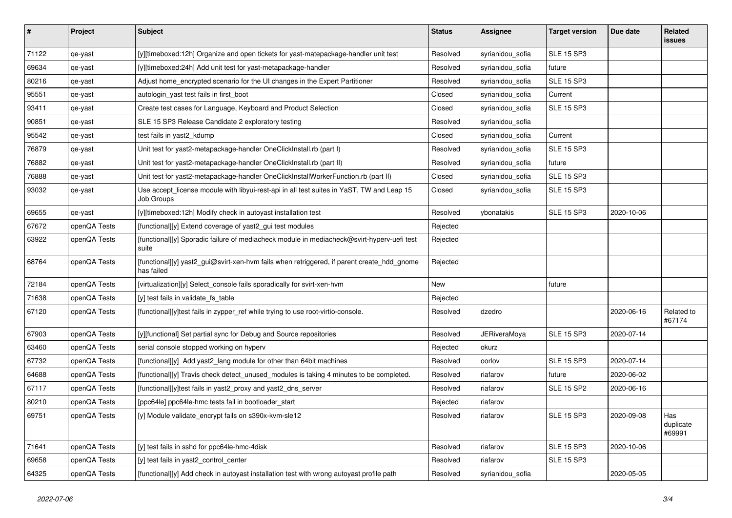| #     | Project      | <b>Subject</b>                                                                                           | <b>Status</b> | <b>Assignee</b>     | <b>Target version</b> | Due date   | Related<br>issues          |
|-------|--------------|----------------------------------------------------------------------------------------------------------|---------------|---------------------|-----------------------|------------|----------------------------|
| 71122 | qe-yast      | [y][timeboxed:12h] Organize and open tickets for yast-matepackage-handler unit test                      | Resolved      | syrianidou_sofia    | <b>SLE 15 SP3</b>     |            |                            |
| 69634 | qe-yast      | [y][timeboxed:24h] Add unit test for yast-metapackage-handler                                            | Resolved      | syrianidou_sofia    | future                |            |                            |
| 80216 | qe-yast      | Adjust home_encrypted scenario for the UI changes in the Expert Partitioner                              | Resolved      | syrianidou_sofia    | <b>SLE 15 SP3</b>     |            |                            |
| 95551 | qe-yast      | autologin_yast test fails in first_boot                                                                  | Closed        | syrianidou_sofia    | Current               |            |                            |
| 93411 | qe-yast      | Create test cases for Language, Keyboard and Product Selection                                           | Closed        | syrianidou_sofia    | <b>SLE 15 SP3</b>     |            |                            |
| 90851 | qe-yast      | SLE 15 SP3 Release Candidate 2 exploratory testing                                                       | Resolved      | syrianidou_sofia    |                       |            |                            |
| 95542 | qe-yast      | test fails in yast2_kdump                                                                                | Closed        | syrianidou_sofia    | Current               |            |                            |
| 76879 | qe-yast      | Unit test for yast2-metapackage-handler OneClickInstall.rb (part I)                                      | Resolved      | syrianidou_sofia    | <b>SLE 15 SP3</b>     |            |                            |
| 76882 | qe-yast      | Unit test for yast2-metapackage-handler OneClickInstall.rb (part II)                                     | Resolved      | syrianidou_sofia    | future                |            |                            |
| 76888 | qe-yast      | Unit test for yast2-metapackage-handler OneClickInstallWorkerFunction.rb (part II)                       | Closed        | syrianidou_sofia    | <b>SLE 15 SP3</b>     |            |                            |
| 93032 | qe-yast      | Use accept_license module with libyui-rest-api in all test suites in YaST, TW and Leap 15<br>Job Groups  | Closed        | syrianidou_sofia    | <b>SLE 15 SP3</b>     |            |                            |
| 69655 | qe-yast      | [y][timeboxed:12h] Modify check in autoyast installation test                                            | Resolved      | ybonatakis          | <b>SLE 15 SP3</b>     | 2020-10-06 |                            |
| 67672 | openQA Tests | [functional][y] Extend coverage of yast2_gui test modules                                                | Rejected      |                     |                       |            |                            |
| 63922 | openQA Tests | [functional][y] Sporadic failure of mediacheck module in mediacheck@svirt-hyperv-uefi test<br>suite      | Rejected      |                     |                       |            |                            |
| 68764 | openQA Tests | [functional][y] yast2_gui@svirt-xen-hvm fails when retriggered, if parent create_hdd_gnome<br>has failed | Rejected      |                     |                       |            |                            |
| 72184 | openQA Tests | [virtualization][y] Select_console fails sporadically for svirt-xen-hvm                                  | New           |                     | future                |            |                            |
| 71638 | openQA Tests | [y] test fails in validate_fs_table                                                                      | Rejected      |                     |                       |            |                            |
| 67120 | openQA Tests | [functional][y]test fails in zypper_ref while trying to use root-virtio-console.                         | Resolved      | dzedro              |                       | 2020-06-16 | Related to<br>#67174       |
| 67903 | openQA Tests | [y][functional] Set partial sync for Debug and Source repositories                                       | Resolved      | <b>JERiveraMoya</b> | <b>SLE 15 SP3</b>     | 2020-07-14 |                            |
| 63460 | openQA Tests | serial console stopped working on hyperv                                                                 | Rejected      | okurz               |                       |            |                            |
| 67732 | openQA Tests | [functional][y] Add yast2_lang module for other than 64bit machines                                      | Resolved      | oorlov              | <b>SLE 15 SP3</b>     | 2020-07-14 |                            |
| 64688 | openQA Tests | [functional][y] Travis check detect_unused_modules is taking 4 minutes to be completed.                  | Resolved      | riafarov            | future                | 2020-06-02 |                            |
| 67117 | openQA Tests | [functional][y]test fails in yast2_proxy and yast2_dns_server                                            | Resolved      | riafarov            | <b>SLE 15 SP2</b>     | 2020-06-16 |                            |
| 80210 | openQA Tests | [ppc64le] ppc64le-hmc tests fail in bootloader_start                                                     | Rejected      | riafarov            |                       |            |                            |
| 69751 | openQA Tests | [y] Module validate_encrypt fails on s390x-kvm-sle12                                                     | Resolved      | riafarov            | <b>SLE 15 SP3</b>     | 2020-09-08 | Has<br>duplicate<br>#69991 |
| 71641 | openQA Tests | [y] test fails in sshd for ppc64le-hmc-4disk                                                             | Resolved      | riafarov            | <b>SLE 15 SP3</b>     | 2020-10-06 |                            |
| 69658 | openQA Tests | [y] test fails in yast2_control_center                                                                   | Resolved      | riafarov            | <b>SLE 15 SP3</b>     |            |                            |
| 64325 | openQA Tests | [functional][y] Add check in autoyast installation test with wrong autoyast profile path                 | Resolved      | syrianidou_sofia    |                       | 2020-05-05 |                            |